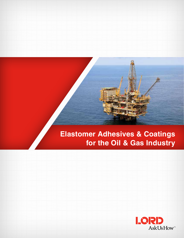# **Elastomer Adhesives & Coatings for the Oil & Gas Industry**

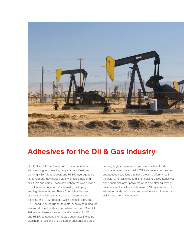

## **Adhesives for the Oil & Gas Industry**

LORD Chemlok® 6450 and 6451 covercoat adhesives withstand higher operating temperatures. Designed for bonding NBR (nitrile rubber) and HNBR (hydrogenated nitrile rubber), they resist a variety of fluids including oils, fuels and acids. These new adhesives also provide excellent resistance to water, humidity, salt spray and high temperatures. These Chemlok adhesives use new chemistries that are non-chlorosulfonated polyethylene (CSM) based. LORD Chemlok 6450 and 6451 bond uncured rubber-to-metal substrates during the vulcanization of the elastomer. When used with Chemlok 207 primer, these adhesives bond a variety of NBR and HNBR compounds to multiple substrates including aluminum, brass and grit-blasted or phosphatized steel.

For very high-temperature applications, where FKMs (fluoroelastomers) are used, LORD also offers both solvent and aqueous solutions that have proven performance in the field. Chemlok 5150 and 5151 solvent-based adhesives bond fluoroelastomer polymers while also offering strong environmental resistance. Chemlok 8116 aqueous-based adhesive bonds peroxide cured elastomers and performs well in extreme environments.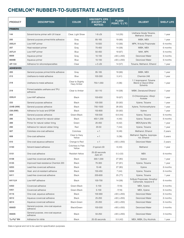### **CHEMLOK® RUBBER-TO-SUBSTRATE ADHESIVES**

| <b>PRODUCT</b>         | <b>DESCRIPTION</b>                            | <b>COLOR</b>                    | <b>VISCOSITY, CPS</b><br><b>(EXCEPT AS</b><br><b>NOTED)</b> | <b>FLASH</b><br>POINT, °C (°F) | <b>DILUENT</b>                                                | <b>SHELF LIFE</b> |
|------------------------|-----------------------------------------------|---------------------------------|-------------------------------------------------------------|--------------------------------|---------------------------------------------------------------|-------------------|
| <b>PRIMERS</b>         |                                               |                                 |                                                             |                                |                                                               |                   |
| 144                    | Solvent-borne primer with UV tracer           | Clear, Light Straw              | $1-8$ $cSt$                                                 | 1.6(35)                        | Urethane Grade Toluene,<br>Methanol, Ethanol                  | 1 year            |
| 205                    | General purpose primer/nitrile adhesive       | Gray                            | 85-165                                                      | 19 (66)                        | MIBK, MEK                                                     | 1 year            |
| 205LH                  | Low-HAP primer                                | Blue                            | 10-550                                                      | 13(56)                         | MPK, N-butyl Propionate                                       | 6 months          |
| 207                    | Heat-resistant primer                         | Gray                            | 70-450                                                      | 14 (58)                        | MIBK, MEK                                                     | 6 months          |
| 207LH                  | Low-HAP primer                                | Blue                            | 50-450                                                      | 19(67)                         | MAK, MPK                                                      | 6 months          |
| 8009                   | Aqueous primer                                | Gray                            | $10 - 100$                                                  | $>93$ ( $>200$ )               | Deionized Water                                               | 6 months          |
| 8009B                  | Aqueous primer                                | Blue                            | 10-100                                                      | $>93$ ( $>200$ )               | Deionized Water                                               | 6 months          |
| AP-133                 | Adhesive for silicone/specialties             | Clear                           | $\approx$ 5 cSt                                             | 14(57)                         | Toluene, Methanol, Ethanol                                    | 1 year            |
| <b>ADHESIVES</b>       |                                               |                                 |                                                             |                                |                                                               |                   |
| 205                    | General purpose primer/nitrile adhesive       | Gray                            | 85-165                                                      | 19 (66)                        | MIBK, MEK                                                     | 1 year            |
| 213                    | Urethane-to-metal adhesive                    | Blue                            | 100-300                                                     | 5(41)                          | Chemlok 248                                                   | 1 year            |
| 218                    | Urethane-to-metal adhesive                    | Clear to Slightly<br>Hazy Amber | 750-1,050                                                   | 2(36)                          | 1:1 Isopropanol; Toluene<br>Blend or Glycol Ether<br>Solvents | 1 year            |
| 219                    | Primer/castable urethane and TPU<br>adhesive  | Clear to Amber                  | 50-110                                                      | 14 (58)                        | MIBK, Denatured Ethanol                                       | 1 year            |
| 220LH                  | Low-HAP adhesive                              | Black                           | 100-650                                                     | 19 (67)                        | O-Chlorotoluene, t-Butyl<br>Acetate                           | 1 year            |
| 233                    | General purpose adhesive                      | <b>Black</b>                    | 100-300                                                     | 33 (92)                        | Xylene, Toluene                                               | 1 year            |
| 234B (NW)              | General purpose adhesive                      | <b>Black</b>                    | 700-1500                                                    | 28 (83)                        | Xylene, Trichloroethylene                                     | 1 year            |
| 238 (NW)               | Adhesive for butyl and EPDM                   | <b>Black</b>                    | 150-800                                                     | 33 (92)                        | Xylene                                                        | 1 year            |
| 259                    | General purpose adhesive                      | Green-Black                     | 100-500                                                     | 6.6(44)                        | Xylene, Toluene                                               | 6 months          |
| 286                    | Tacky tie cement for natural rubber           | <b>Black</b>                    | 450-1,200                                                   | 4(40)                          | Xylene, Toluene                                               | 6 months          |
| 289                    | Primer for natural rubber lining              | Green                           | 20-450                                                      | 6(42)                          | MEK/Xylene Mix                                                | 1 year            |
| 290                    | Adhesive for natural rubber lining            | Red                             | $20 - 50$                                                   | 7(44)                          | Xylene, Toluene                                               | 1 year            |
| 607                    | Colorless one-coat adhesive                   | Colorless                       | $\approx$ 1                                                 | 9(49)                          | Methanol, Ethanol                                             | 2 years           |
| 608                    | One-coat adhesive                             | Clear to Hazy<br>Yellow         | $\approx$ 1                                                 | 3(38)                          | Methanol, Naptha, Isopropa-<br>nol, Ethanol                   | 2 years           |
| 610                    | One-coat aqueous adhesive                     | Orange to Red                   | $\approx$ 1                                                 | $>93$ ( $>200$ )               | Deionized Water                                               | 2 years           |
| 5150                   | Solvent-based adhesive                        | Colorless to Pale<br>Yellow     | 2 typical cSt                                               | 6(43)                          | Methanol                                                      | 1 year            |
| 5151                   | One-coat adhesive                             | Reddish-Yellow                  | 25-30 seconds<br>Zahn #1                                    | $-5 (+22)$                     | <b>MEK</b>                                                    | 6 months          |
| 6108                   | Lead-free covercoat adhesive                  | <b>Black</b>                    | 300-1,000                                                   | 27(80)                         | Xylene                                                        | 1 year            |
| 6125                   | Improved heat-resistance Chemlok 220          | <b>Black</b>                    | 70-300                                                      | 27(81)                         | Xylene, Toluene                                               | 1 year            |
| 6253                   | Lead-free covercoat adhesive                  | Black                           | $10 - 46$                                                   | 27 (80)                        | Xylene                                                        | 6 months          |
| 6254                   | Heat- and oil-resistant adhesive              | <b>Black</b>                    | 150-450                                                     | 7(44)                          | Xylene, Toluene                                               | 6 months          |
| 6411                   | Lead-free covercoat adhesive                  | <b>Black</b>                    | 200-600                                                     | 25(77)                         | Xylene, Toluene                                               | 1 year            |
| 6411LH                 | Low-HAP adhesive                              | Black                           | 100-700                                                     | 14 (58)                        | N-Butyl Propionate, Dimethyl<br>Carbonate, Isopavre E         | 6 months          |
| 6450                   | Covercoat adhesive                            | Green-Black                     | $5 - 100$                                                   | $-7(18)$                       | MEK, Xylene                                                   | 6 months          |
| 6451                   | Covercoat adhesive                            | Green-Black                     | $5 - 100$                                                   | $-7(18)$                       | MEK, Xylene                                                   | 6 months          |
| 8116                   | One-coat, aqueous adhesive                    | <b>Black</b>                    | 100-900                                                     | $>93$ ( $>200$ )               | Deionized Water                                               | 6 months          |
| 8212                   | Aqueous covercoat adhesive                    | Black                           | 25-200                                                      | $>93$ ( $>200$ )               | Deionized Water                                               | 6 months          |
| 8214                   | Aqueous covercoat adhesive                    | Black-Green                     | 20-200                                                      | $>93$ ( $>200$ )               | Deionized Water                                               | 6 months          |
| 8560D                  | General purpose, one-coat aqueous<br>adhesive | Black/Green                     | 100-500                                                     | $>93$ ( $>200$ )               | Deionized Water                                               | 3 months          |
| 8560S                  | General purpose, one-coat aqueous<br>adhesive | Black                           | 50-250                                                      | $>93$ ( $>200$ )               | Deionized Water                                               | 3 months          |
| Ty-Ply <sup>®</sup> BN | Adhesive for nitrile                          | <b>Black</b>                    | 20-35 seconds                                               | 5.5(42)                        | MEK, MIBK, Dry Alcohols                                       | 1 year            |

Data is typical and not to be used for specification purposes.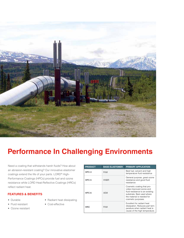

## **Performance In Challenging Environments**

Need a coating that withstands harsh fluids? How about an abrasion-resistant coating? Our innovative elastomer coatings extend the life of your parts. LORD® High-Performance Coatings (HPCs) provide fuel and ozone resistance while LORD Heat-Reflective Coatings (HRCs) reflect radiant heat.

#### **FEATURES & BENEFITS**

- Durable
- Fluid resistant
- Cost-effective

• Radiant heat dissipating

• Ozone resistant

| <b>PRODUCT</b> | <b>BASE ELASTOMER</b> | <b>PRIMARY APPLICATION</b>                                                                                                                                                  |
|----------------|-----------------------|-----------------------------------------------------------------------------------------------------------------------------------------------------------------------------|
| $HPC-3$        | <b>FKM</b>            | Best fuel, solvent and high<br>temperature fluid resistance                                                                                                                 |
| $HPC-5$        | <b>HNRR</b>           | General purpose, great ozone<br>resistance and good fluid<br>resistance                                                                                                     |
| $HPC-6$        | <b>AFM</b>            | Cosmetic coating that pro-<br>vides improved ozone and<br>fluid resistance to an existing<br>substrate. Best used where<br>the material is needed for<br>cosmetic purposes. |
| <b>HRC</b>     | <b>FKM</b>            | Excellent for radiant heat<br>dissipation. Reduces part tem-<br>perature when radiant heat is<br>cause of the high temperature.                                             |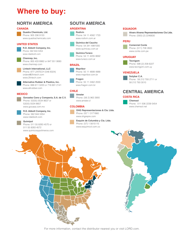## **Where to buy:**

### **North America**

#### **CANADA**

**Quadra Chemicals, Ltd.**

Phone: 905 336 9133 www.quadrachemicals.com

#### **UNITED STATES**

**R.D. Abbott Company, Inc.** Phone: 562 944 5354 www.rdabbott.com

**Chemrep, Inc.** Phone: 800 433 8982 or 847 551 9060 www.chemrep.com

**Lintech International, LLC** Phone: 877 LINTECH (546 8324) orders@2lintech.com www.2lintech.com

**Alternative Rubber & Plastics, Inc.** Phone: 888 611 0220 or 716 691 2141 www.altrubber.com

#### **MEXICO**

**Gonzalez Cano y Compania, S.A. de C.V.** Phone: 52(55) 5534 8637 or 52(55) 5534 8657 www.gocasa.com.mx

**R.D. Abbott Company, Inc.** Phone: 562 944 5354

#### www.rdabbott.com **Quimipol**

Phone: 011 55 8283 4570 or 011 55 8283 4572 www.quimicosypolimeros.com

### **South America**

#### **ARGENTINA**

#### **Rodivin**

Phone: 54 11 4582 1720 www.rodivin.com.ar

**Quimica del Caucho** Phone: 54 341 4981000 www.quimicau.com.ar

**Quimica Turaco** Phone: 54 11 4205 8692 www.turaco.com.ar

#### **BRAZIL**

**Mapribor** Phone: 55 11 4899 4988 www.mapribor.com.br

**Fragon** Phone: 55 11 2462 2000 www.fragon.com.br

#### **CHILE**

**Amster** Phone: (56 2) 963 3900 www.amster.cl

#### **COLOMBIA**

**OHG Representaciones & Cia. Ltda.** Phone: 057 1 3171860 www.ohgrepre.com

**Esquim de Columbia y Cia. Ltda.** Phone: (57) 1 5615115 www.esquimcol.com.co

#### **EQUADOR**

**Alvaro Alvarez Representaciones Cia Ltda.** Phone: (593) (2) 2246830

#### **PERU**



#### **URUGUAY**



Phone: 598 (2) 208 6227

#### **VENEZUELA**

**Sotybar C.A.** Phone: 58 212 793 2711 or 58 212 793 3010

### **Central America**

#### **COSTA RICA**



Phone: 011 506 2239 5454 www.chemsol.net



For more information, contact the distributor nearest you or visit LORD.com.